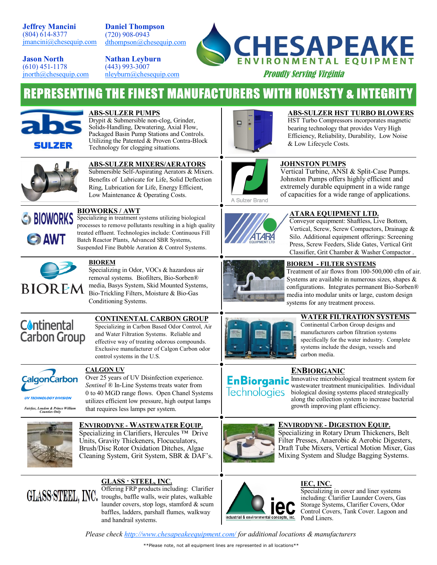**Jeffrey Mancini** (804) 614-8377 [jmancini@chesequip.com](mailto:jmancini@chesequip.com?subject=CEE%20LINE%20CARD)

**Daniel Thompson** (720) 908-0943 [dthompson@chesequip.com](mailto:nleyburn@chesequip.com?subject=CEE%20LINE%20CARD)

**Jason North** (610) 451-1178 [jnorth@chesequip.com](mailto:jnorth@chesequip.com?subject=CEE%20LINE%20CARD) **Nathan Leyburn** (443) 993-3007 [nleyburn@chesequip.com](mailto:nleyburn@chesequip.com?subject=CEE%20LINE%20CARD)



Proudly Serving Virginia

# **REPRESENTING THE FINEST MANUFACTURERS WITH HONESTY & INTEGRITY**



#### **ABS-SULZER PUMPS**

Drypit & Submersible non-clog, Grinder, Solids-Handling, Dewatering, Axial Flow, Packaged Basin Pump Stations and Controls. Utilizing the Patented & Proven Contra-Block Technology for clogging situations.



#### **ABS-SULZER HST TURBO BLOWERS**

HST Turbo Compressors incorporates magnetic bearing technology that provides Very High Efficiency, Reliability, Durability, Low Noise & Low Lifecycle Costs.



#### **ABS-SULZER MIXERS/AERATORS**

Submersible Self-Aspirating Aerators & Mixers. Benefits of Lubricate for Life, Solid Deflection Ring, Lubrication for Life, Energy Efficient, Low Maintenance & Operating Costs.



#### **BIOWORKS / AWT**

Specializing in treatment systems utilizing biological processes to remove pollutants resulting in a high quality treated effluent. Technologies include: Continuous Fill Batch Reactor Plants, Advanced SBR Systems, Suspended Fine Bubble Aeration & Control Systems.



#### **BIOREM**

Specializing in Odor, VOCs & hazardous air removal systems. Biofilters, Bio-Sorben® media, Basys System, Skid Mounted Systems, Bio-Trickling Filters, Moisture & Bio-Gas Conditioning Systems.



#### **CONTINENTAL CARBON GROUP**

Specializing in Carbon Based Odor Control, Air and Water Filtration Systems. Reliable and effective way of treating odorous compounds. Exclusive manufacturer of Calgon Carbon odor control systems in the U.S.



**UV TECHNOLOGY DIVISION**  *Fairfax, Loudon & Prince William Counties Only* 

#### **CALGON UV**

Over 25 years of UV Disinfection experience. *Sentinel ®* In-Line Systems treats water from 0 to 40 MGD range flows. Open Chanel Systems utilizes efficient low pressure, high output lamps that requires less lamps per system.

#### **ENVIRODYNE - WASTEWATER EQUIP.**  Specializing in Clarifiers, Hercules ™ Drive

Units, Gravity Thickeners, Flocuculators, Brush/Disc Rotor Oxidation Ditches, Algae Cleaning System, Grit System, SBR & DAF's.



## **GLASS · STEEL, INC.**

Offering FRP products including: Clarifier troughs, baffle walls, weir plates, walkable launder covers, stop logs, stamford & scum baffles, ladders, parshall flumes, walkway and handrail systems.



A Sulzer Brand

#### **JOHNSTON PUMPS**

Vertical Turbine, ANSI & Split-Case Pumps. Johnston Pumps offers highly efficient and extremely durable equipment in a wide range of capacities for a wide range of applications.



#### **ATARA EQUIPMENT LTD.**

Conveyor equipment: Shaftless, Live Bottom, Vertical, Screw, Screw Compactors, Drainage & Silo. Additional equipment offerings: Screening Press, Screw Feeders, Slide Gates, Vertical Grit Classifier, Grit Chamber & Washer Compactor .



## **BIOREM - FILTER SYSTEMS**

Treatment of air flows from 100-500,000 cfm of air. Systems are available in numerous sizes, shapes & configurations. Integrates permanent Bio-Sorben® media into modular units or large, custom design systems for any treatment process.



#### **WATER FILTRATION SYSTEMS**

Continental Carbon Group designs and manufacturers carbon filtration systems specifically for the water industry. Complete systems include the design, vessels and carbon media.

## **ENBIORGANIC**

**Technologies** 

**En Biorganic** Innovative microbiological treatment system for wastewater treatment municipalities. Individual biological dosing systems placed strategically along the collection system to increase bacterial growth improving plant efficiency.



## **ENVIRODYNE - DIGESTION EQUIP.**  Specializing in Rotary Drum Thickeners, Belt

Filter Presses, Anaerobic & Aerobic Digesters, Draft Tube Mixers, Vertical Motion Mixer, Gas Mixing System and Sludge Bagging Systems.



#### **IEC, INC.**

Specializing in cover and liner systems including: Clarifier Launder Covers, Gas Storage Systems, Clarifier Covers, Odor Control Covers, Tank Cover. Lagoon and Pond Liners.

*Please check [http://www.chesapeakeequipment.com/](http://www.chesapeakeequipment.com) for additional locations & manufacturers*